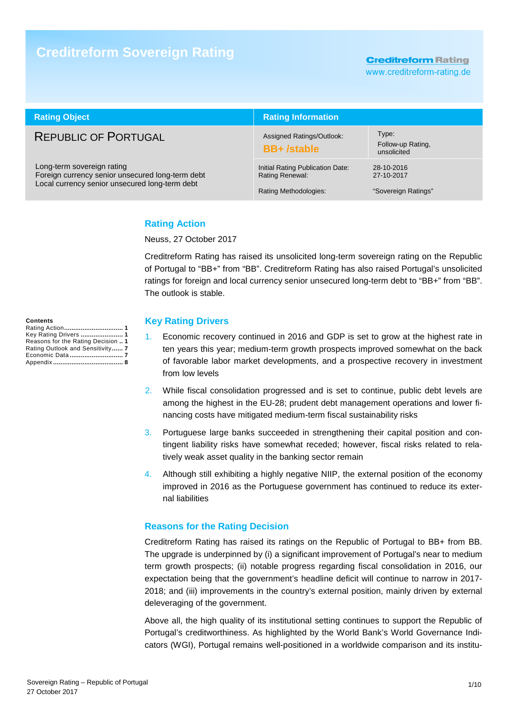# **Creditreform Sovereign Rating**

**Creditreform Rating** 

www.creditreform-rating.de

| <b>Rating Object</b>                                                                                                             | <b>Rating Information</b>                                                    |                                                 |  |  |
|----------------------------------------------------------------------------------------------------------------------------------|------------------------------------------------------------------------------|-------------------------------------------------|--|--|
| <b>REPUBLIC OF PORTUGAL</b>                                                                                                      | Assigned Ratings/Outlook:<br><b>BB+/stable</b>                               | Type:<br>Follow-up Rating,<br>unsolicited       |  |  |
| Long-term sovereign rating<br>Foreign currency senior unsecured long-term debt<br>Local currency senior unsecured long-term debt | Initial Rating Publication Date:<br>Rating Renewal:<br>Rating Methodologies: | 28-10-2016<br>27-10-2017<br>"Sovereign Ratings" |  |  |

## **Rating Action**

Neuss, 27 October 2017

Creditreform Rating has raised its unsolicited long-term sovereign rating on the Republic of Portugal to "BB+" from "BB". Creditreform Rating has also raised Portugal's unsolicited ratings for foreign and local currency senior unsecured long-term debt to "BB+" from "BB". The outlook is stable.

#### **Contents**

| Key Rating Drivers  1              |
|------------------------------------|
| Reasons for the Rating Decision  1 |
| Rating Outlook and Sensitivity 7   |
|                                    |
|                                    |

### **Key Rating Drivers**

- 1. Economic recovery continued in 2016 and GDP is set to grow at the highest rate in ten years this year; medium-term growth prospects improved somewhat on the back of favorable labor market developments, and a prospective recovery in investment from low levels
- 2. While fiscal consolidation progressed and is set to continue, public debt levels are among the highest in the EU-28; prudent debt management operations and lower financing costs have mitigated medium-term fiscal sustainability risks
- 3. Portuguese large banks succeeded in strengthening their capital position and contingent liability risks have somewhat receded; however, fiscal risks related to relatively weak asset quality in the banking sector remain
- 4. Although still exhibiting a highly negative NIIP, the external position of the economy improved in 2016 as the Portuguese government has continued to reduce its external liabilities

### **Reasons for the Rating Decision**

Creditreform Rating has raised its ratings on the Republic of Portugal to BB+ from BB. The upgrade is underpinned by (i) a significant improvement of Portugal's near to medium term growth prospects; (ii) notable progress regarding fiscal consolidation in 2016, our expectation being that the government's headline deficit will continue to narrow in 2017- 2018; and (iii) improvements in the country's external position, mainly driven by external deleveraging of the government.

Above all, the high quality of its institutional setting continues to support the Republic of Portugal's creditworthiness. As highlighted by the World Bank's World Governance Indicators (WGI), Portugal remains well-positioned in a worldwide comparison and its institu-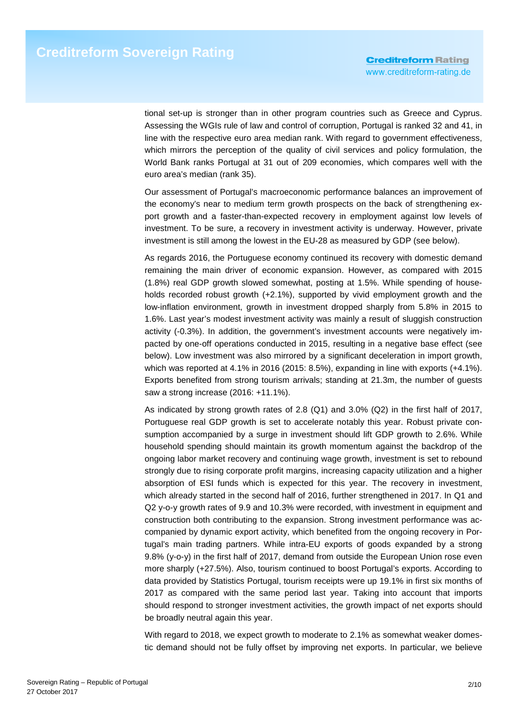tional set-up is stronger than in other program countries such as Greece and Cyprus. Assessing the WGIs rule of law and control of corruption, Portugal is ranked 32 and 41, in line with the respective euro area median rank. With regard to government effectiveness, which mirrors the perception of the quality of civil services and policy formulation, the World Bank ranks Portugal at 31 out of 209 economies, which compares well with the euro area's median (rank 35).

Our assessment of Portugal's macroeconomic performance balances an improvement of the economy's near to medium term growth prospects on the back of strengthening export growth and a faster-than-expected recovery in employment against low levels of investment. To be sure, a recovery in investment activity is underway. However, private investment is still among the lowest in the EU-28 as measured by GDP (see below).

As regards 2016, the Portuguese economy continued its recovery with domestic demand remaining the main driver of economic expansion. However, as compared with 2015 (1.8%) real GDP growth slowed somewhat, posting at 1.5%. While spending of households recorded robust growth (+2.1%), supported by vivid employment growth and the low-inflation environment, growth in investment dropped sharply from 5.8% in 2015 to 1.6%. Last year's modest investment activity was mainly a result of sluggish construction activity (-0.3%). In addition, the government's investment accounts were negatively impacted by one-off operations conducted in 2015, resulting in a negative base effect (see below). Low investment was also mirrored by a significant deceleration in import growth, which was reported at 4.1% in 2016 (2015: 8.5%), expanding in line with exports (+4.1%). Exports benefited from strong tourism arrivals; standing at 21.3m, the number of guests saw a strong increase (2016: +11.1%).

As indicated by strong growth rates of 2.8 (Q1) and 3.0% (Q2) in the first half of 2017, Portuguese real GDP growth is set to accelerate notably this year. Robust private consumption accompanied by a surge in investment should lift GDP growth to 2.6%. While household spending should maintain its growth momentum against the backdrop of the ongoing labor market recovery and continuing wage growth, investment is set to rebound strongly due to rising corporate profit margins, increasing capacity utilization and a higher absorption of ESI funds which is expected for this year. The recovery in investment, which already started in the second half of 2016, further strengthened in 2017. In Q1 and Q2 y-o-y growth rates of 9.9 and 10.3% were recorded, with investment in equipment and construction both contributing to the expansion. Strong investment performance was accompanied by dynamic export activity, which benefited from the ongoing recovery in Portugal's main trading partners. While intra-EU exports of goods expanded by a strong 9.8% (y-o-y) in the first half of 2017, demand from outside the European Union rose even more sharply (+27.5%). Also, tourism continued to boost Portugal's exports. According to data provided by Statistics Portugal, tourism receipts were up 19.1% in first six months of 2017 as compared with the same period last year. Taking into account that imports should respond to stronger investment activities, the growth impact of net exports should be broadly neutral again this year.

With regard to 2018, we expect growth to moderate to 2.1% as somewhat weaker domestic demand should not be fully offset by improving net exports. In particular, we believe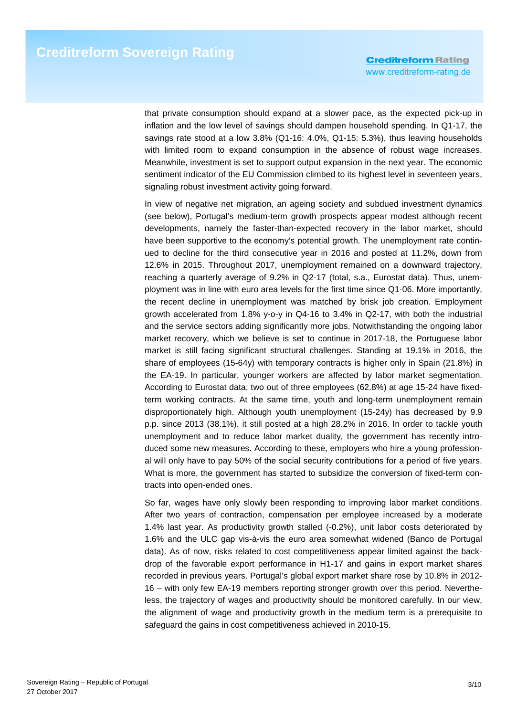that private consumption should expand at a slower pace, as the expected pick-up in inflation and the low level of savings should dampen household spending. In Q1-17, the savings rate stood at a low 3.8% (Q1-16: 4.0%, Q1-15: 5.3%), thus leaving households with limited room to expand consumption in the absence of robust wage increases. Meanwhile, investment is set to support output expansion in the next year. The economic sentiment indicator of the EU Commission climbed to its highest level in seventeen years, signaling robust investment activity going forward.

In view of negative net migration, an ageing society and subdued investment dynamics (see below), Portugal's medium-term growth prospects appear modest although recent developments, namely the faster-than-expected recovery in the labor market, should have been supportive to the economy's potential growth. The unemployment rate continued to decline for the third consecutive year in 2016 and posted at 11.2%, down from 12.6% in 2015. Throughout 2017, unemployment remained on a downward trajectory, reaching a quarterly average of 9.2% in Q2-17 (total, s.a., Eurostat data). Thus, unemployment was in line with euro area levels for the first time since Q1-06. More importantly, the recent decline in unemployment was matched by brisk job creation. Employment growth accelerated from 1.8% y-o-y in Q4-16 to 3.4% in Q2-17, with both the industrial and the service sectors adding significantly more jobs. Notwithstanding the ongoing labor market recovery, which we believe is set to continue in 2017-18, the Portuguese labor market is still facing significant structural challenges. Standing at 19.1% in 2016, the share of employees (15-64y) with temporary contracts is higher only in Spain (21.8%) in the EA-19. In particular, younger workers are affected by labor market segmentation. According to Eurostat data, two out of three employees (62.8%) at age 15-24 have fixedterm working contracts. At the same time, youth and long-term unemployment remain disproportionately high. Although youth unemployment (15-24y) has decreased by 9.9 p.p. since 2013 (38.1%), it still posted at a high 28.2% in 2016. In order to tackle youth unemployment and to reduce labor market duality, the government has recently introduced some new measures. According to these, employers who hire a young professional will only have to pay 50% of the social security contributions for a period of five years. What is more, the government has started to subsidize the conversion of fixed-term contracts into open-ended ones.

So far, wages have only slowly been responding to improving labor market conditions. After two years of contraction, compensation per employee increased by a moderate 1.4% last year. As productivity growth stalled (-0.2%), unit labor costs deteriorated by 1.6% and the ULC gap vis-à-vis the euro area somewhat widened (Banco de Portugal data). As of now, risks related to cost competitiveness appear limited against the backdrop of the favorable export performance in H1-17 and gains in export market shares recorded in previous years. Portugal's global export market share rose by 10.8% in 2012- 16 – with only few EA-19 members reporting stronger growth over this period. Nevertheless, the trajectory of wages and productivity should be monitored carefully. In our view, the alignment of wage and productivity growth in the medium term is a prerequisite to safeguard the gains in cost competitiveness achieved in 2010-15.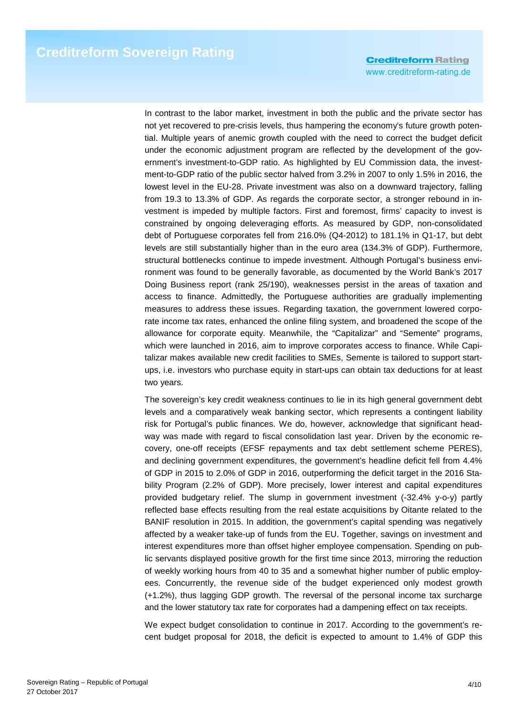**Creditreform Rating** www.creditreform-rating.de

In contrast to the labor market, investment in both the public and the private sector has not yet recovered to pre-crisis levels, thus hampering the economy's future growth potential. Multiple years of anemic growth coupled with the need to correct the budget deficit under the economic adjustment program are reflected by the development of the government's investment-to-GDP ratio. As highlighted by EU Commission data, the investment-to-GDP ratio of the public sector halved from 3.2% in 2007 to only 1.5% in 2016, the lowest level in the EU-28. Private investment was also on a downward trajectory, falling from 19.3 to 13.3% of GDP. As regards the corporate sector, a stronger rebound in investment is impeded by multiple factors. First and foremost, firms' capacity to invest is constrained by ongoing deleveraging efforts. As measured by GDP, non-consolidated debt of Portuguese corporates fell from 216.0% (Q4-2012) to 181.1% in Q1-17, but debt levels are still substantially higher than in the euro area (134.3% of GDP). Furthermore, structural bottlenecks continue to impede investment. Although Portugal's business environment was found to be generally favorable, as documented by the World Bank's 2017 Doing Business report (rank 25/190), weaknesses persist in the areas of taxation and access to finance. Admittedly, the Portuguese authorities are gradually implementing measures to address these issues. Regarding taxation, the government lowered corporate income tax rates, enhanced the online filing system, and broadened the scope of the allowance for corporate equity. Meanwhile, the "Capitalizar" and "Semente" programs, which were launched in 2016, aim to improve corporates access to finance. While Capitalizar makes available new credit facilities to SMEs, Semente is tailored to support startups, i.e. investors who purchase equity in start-ups can obtain tax deductions for at least two years.

The sovereign's key credit weakness continues to lie in its high general government debt levels and a comparatively weak banking sector, which represents a contingent liability risk for Portugal's public finances. We do, however, acknowledge that significant headway was made with regard to fiscal consolidation last year. Driven by the economic recovery, one-off receipts (EFSF repayments and tax debt settlement scheme PERES), and declining government expenditures, the government's headline deficit fell from 4.4% of GDP in 2015 to 2.0% of GDP in 2016, outperforming the deficit target in the 2016 Stability Program (2.2% of GDP). More precisely, lower interest and capital expenditures provided budgetary relief. The slump in government investment (-32.4% y-o-y) partly reflected base effects resulting from the real estate acquisitions by Oitante related to the BANIF resolution in 2015. In addition, the government's capital spending was negatively affected by a weaker take-up of funds from the EU. Together, savings on investment and interest expenditures more than offset higher employee compensation. Spending on public servants displayed positive growth for the first time since 2013, mirroring the reduction of weekly working hours from 40 to 35 and a somewhat higher number of public employees. Concurrently, the revenue side of the budget experienced only modest growth (+1.2%), thus lagging GDP growth. The reversal of the personal income tax surcharge and the lower statutory tax rate for corporates had a dampening effect on tax receipts.

We expect budget consolidation to continue in 2017. According to the government's recent budget proposal for 2018, the deficit is expected to amount to 1.4% of GDP this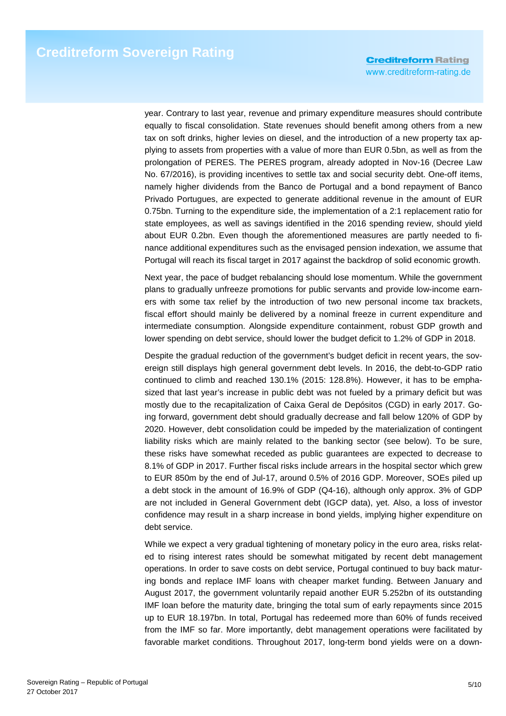**Creditreform Rating** www.creditreform-rating.de

year. Contrary to last year, revenue and primary expenditure measures should contribute equally to fiscal consolidation. State revenues should benefit among others from a new tax on soft drinks, higher levies on diesel, and the introduction of a new property tax applying to assets from properties with a value of more than EUR 0.5bn, as well as from the prolongation of PERES. The PERES program, already adopted in Nov-16 (Decree Law No. 67/2016), is providing incentives to settle tax and social security debt. One-off items, namely higher dividends from the Banco de Portugal and a bond repayment of Banco Privado Portugues, are expected to generate additional revenue in the amount of EUR 0.75bn. Turning to the expenditure side, the implementation of a 2:1 replacement ratio for state employees, as well as savings identified in the 2016 spending review, should yield about EUR 0.2bn. Even though the aforementioned measures are partly needed to finance additional expenditures such as the envisaged pension indexation, we assume that Portugal will reach its fiscal target in 2017 against the backdrop of solid economic growth.

Next year, the pace of budget rebalancing should lose momentum. While the government plans to gradually unfreeze promotions for public servants and provide low-income earners with some tax relief by the introduction of two new personal income tax brackets, fiscal effort should mainly be delivered by a nominal freeze in current expenditure and intermediate consumption. Alongside expenditure containment, robust GDP growth and lower spending on debt service, should lower the budget deficit to 1.2% of GDP in 2018.

Despite the gradual reduction of the government's budget deficit in recent years, the sovereign still displays high general government debt levels. In 2016, the debt-to-GDP ratio continued to climb and reached 130.1% (2015: 128.8%). However, it has to be emphasized that last year's increase in public debt was not fueled by a primary deficit but was mostly due to the recapitalization of Caixa Geral de Depósitos (CGD) in early 2017. Going forward, government debt should gradually decrease and fall below 120% of GDP by 2020. However, debt consolidation could be impeded by the materialization of contingent liability risks which are mainly related to the banking sector (see below). To be sure, these risks have somewhat receded as public guarantees are expected to decrease to 8.1% of GDP in 2017. Further fiscal risks include arrears in the hospital sector which grew to EUR 850m by the end of Jul-17, around 0.5% of 2016 GDP. Moreover, SOEs piled up a debt stock in the amount of 16.9% of GDP (Q4-16), although only approx. 3% of GDP are not included in General Government debt (IGCP data), yet. Also, a loss of investor confidence may result in a sharp increase in bond yields, implying higher expenditure on debt service.

While we expect a very gradual tightening of monetary policy in the euro area, risks related to rising interest rates should be somewhat mitigated by recent debt management operations. In order to save costs on debt service, Portugal continued to buy back maturing bonds and replace IMF loans with cheaper market funding. Between January and August 2017, the government voluntarily repaid another EUR 5.252bn of its outstanding IMF loan before the maturity date, bringing the total sum of early repayments since 2015 up to EUR 18.197bn. In total, Portugal has redeemed more than 60% of funds received from the IMF so far. More importantly, debt management operations were facilitated by favorable market conditions. Throughout 2017, long-term bond yields were on a down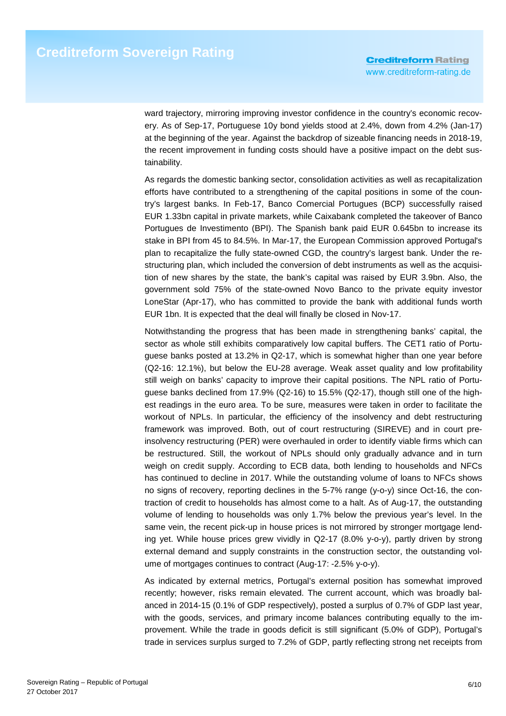ward trajectory, mirroring improving investor confidence in the country's economic recovery. As of Sep-17, Portuguese 10y bond yields stood at 2.4%, down from 4.2% (Jan-17) at the beginning of the year. Against the backdrop of sizeable financing needs in 2018-19, the recent improvement in funding costs should have a positive impact on the debt sustainability.

As regards the domestic banking sector, consolidation activities as well as recapitalization efforts have contributed to a strengthening of the capital positions in some of the country's largest banks. In Feb-17, Banco Comercial Portugues (BCP) successfully raised EUR 1.33bn capital in private markets, while Caixabank completed the takeover of Banco Portugues de Investimento (BPI). The Spanish bank paid EUR 0.645bn to increase its stake in BPI from 45 to 84.5%. In Mar-17, the European Commission approved Portugal's plan to recapitalize the fully state-owned CGD, the country's largest bank. Under the restructuring plan, which included the conversion of debt instruments as well as the acquisition of new shares by the state, the bank's capital was raised by EUR 3.9bn. Also, the government sold 75% of the state-owned Novo Banco to the private equity investor LoneStar (Apr-17), who has committed to provide the bank with additional funds worth EUR 1bn. It is expected that the deal will finally be closed in Nov-17.

Notwithstanding the progress that has been made in strengthening banks' capital, the sector as whole still exhibits comparatively low capital buffers. The CET1 ratio of Portuguese banks posted at 13.2% in Q2-17, which is somewhat higher than one year before (Q2-16: 12.1%), but below the EU-28 average. Weak asset quality and low profitability still weigh on banks' capacity to improve their capital positions. The NPL ratio of Portuguese banks declined from 17.9% (Q2-16) to 15.5% (Q2-17), though still one of the highest readings in the euro area. To be sure, measures were taken in order to facilitate the workout of NPLs. In particular, the efficiency of the insolvency and debt restructuring framework was improved. Both, out of court restructuring (SIREVE) and in court preinsolvency restructuring (PER) were overhauled in order to identify viable firms which can be restructured. Still, the workout of NPLs should only gradually advance and in turn weigh on credit supply. According to ECB data, both lending to households and NFCs has continued to decline in 2017. While the outstanding volume of loans to NFCs shows no signs of recovery, reporting declines in the 5-7% range (y-o-y) since Oct-16, the contraction of credit to households has almost come to a halt. As of Aug-17, the outstanding volume of lending to households was only 1.7% below the previous year's level. In the same vein, the recent pick-up in house prices is not mirrored by stronger mortgage lending yet. While house prices grew vividly in Q2-17 (8.0% y-o-y), partly driven by strong external demand and supply constraints in the construction sector, the outstanding volume of mortgages continues to contract (Aug-17: -2.5% y-o-y).

As indicated by external metrics, Portugal's external position has somewhat improved recently; however, risks remain elevated. The current account, which was broadly balanced in 2014-15 (0.1% of GDP respectively), posted a surplus of 0.7% of GDP last year, with the goods, services, and primary income balances contributing equally to the improvement. While the trade in goods deficit is still significant (5.0% of GDP), Portugal's trade in services surplus surged to 7.2% of GDP, partly reflecting strong net receipts from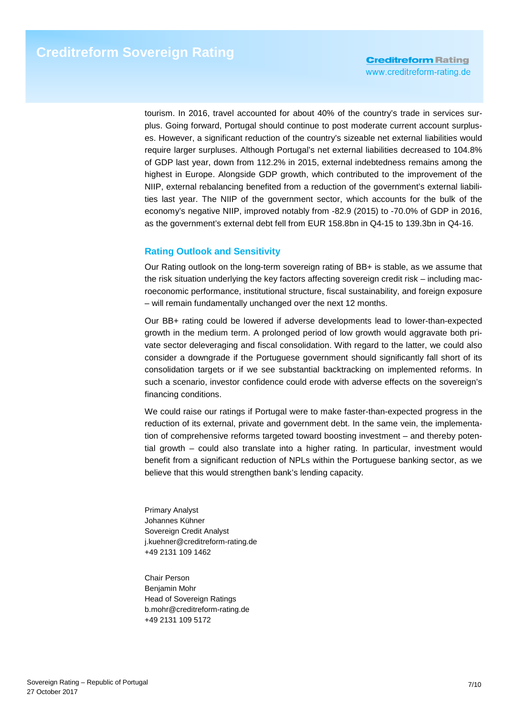tourism. In 2016, travel accounted for about 40% of the country's trade in services surplus. Going forward, Portugal should continue to post moderate current account surpluses. However, a significant reduction of the country's sizeable net external liabilities would require larger surpluses. Although Portugal's net external liabilities decreased to 104.8% of GDP last year, down from 112.2% in 2015, external indebtedness remains among the highest in Europe. Alongside GDP growth, which contributed to the improvement of the NIIP, external rebalancing benefited from a reduction of the government's external liabilities last year. The NIIP of the government sector, which accounts for the bulk of the economy's negative NIIP, improved notably from -82.9 (2015) to -70.0% of GDP in 2016, as the government's external debt fell from EUR 158.8bn in Q4-15 to 139.3bn in Q4-16.

## **Rating Outlook and Sensitivity**

Our Rating outlook on the long-term sovereign rating of BB+ is stable, as we assume that the risk situation underlying the key factors affecting sovereign credit risk – including macroeconomic performance, institutional structure, fiscal sustainability, and foreign exposure – will remain fundamentally unchanged over the next 12 months.

Our BB+ rating could be lowered if adverse developments lead to lower-than-expected growth in the medium term. A prolonged period of low growth would aggravate both private sector deleveraging and fiscal consolidation. With regard to the latter, we could also consider a downgrade if the Portuguese government should significantly fall short of its consolidation targets or if we see substantial backtracking on implemented reforms. In such a scenario, investor confidence could erode with adverse effects on the sovereign's financing conditions.

We could raise our ratings if Portugal were to make faster-than-expected progress in the reduction of its external, private and government debt. In the same vein, the implementation of comprehensive reforms targeted toward boosting investment – and thereby potential growth – could also translate into a higher rating. In particular, investment would benefit from a significant reduction of NPLs within the Portuguese banking sector, as we believe that this would strengthen bank's lending capacity.

Primary Analyst Johannes Kühner Sovereign Credit Analyst j.kuehner@creditreform-rating.de +49 2131 109 1462

Chair Person Benjamin Mohr Head of Sovereign Ratings b.mohr@creditreform-rating.de +49 2131 109 5172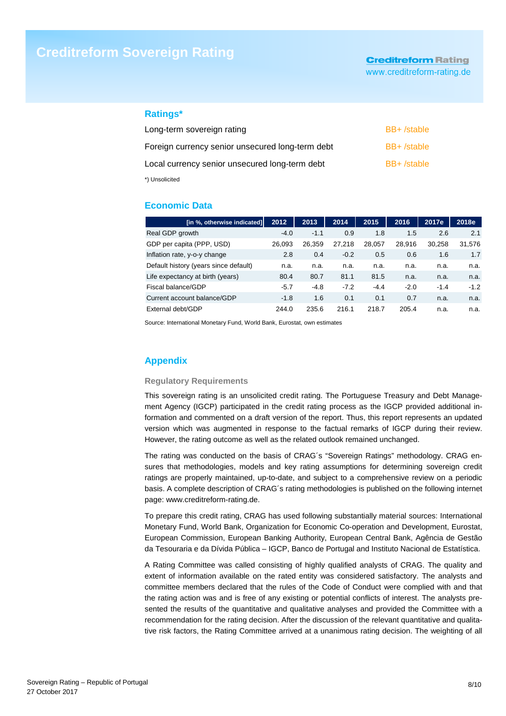# **Creditreform Sovereign Rating**

# **Creditreform Rating**

www.creditreform-rating.de

### **Ratings\***

| Long-term sovereign rating                       | BB+/stable |
|--------------------------------------------------|------------|
| Foreign currency senior unsecured long-term debt | BB+/stable |
| Local currency senior unsecured long-term debt   | BB+/stable |
| *) Unsolicited                                   |            |

### **Economic Data**

| [in %, otherwise indicated]           | 2012   | 2013   | 2014   | 2015   | 2016   | 2017e  | 2018e  |
|---------------------------------------|--------|--------|--------|--------|--------|--------|--------|
| Real GDP growth                       | $-4.0$ | $-1.1$ | 0.9    | 1.8    | 1.5    | 2.6    | 2.1    |
| GDP per capita (PPP, USD)             | 26.093 | 26.359 | 27.218 | 28.057 | 28.916 | 30.258 | 31,576 |
| Inflation rate, y-o-y change          | 2.8    | 0.4    | $-0.2$ | 0.5    | 0.6    | 1.6    | 1.7    |
| Default history (years since default) | n.a.   | n.a.   | n.a.   | n.a.   | n.a.   | n.a.   | n.a.   |
| Life expectancy at birth (years)      | 80.4   | 80.7   | 81.1   | 81.5   | n.a.   | n.a.   | n.a.   |
| Fiscal balance/GDP                    | $-5.7$ | $-4.8$ | $-7.2$ | $-4.4$ | $-2.0$ | $-1.4$ | $-1.2$ |
| Current account balance/GDP           | $-1.8$ | 1.6    | 0.1    | 0.1    | 0.7    | n.a.   | n.a.   |
| External debt/GDP                     | 244.0  | 235.6  | 216.1  | 218.7  | 205.4  | n.a.   | n.a.   |

Source: International Monetary Fund, World Bank, Eurostat, own estimates

## **Appendix**

### **Regulatory Requirements**

This sovereign rating is an unsolicited credit rating. The Portuguese Treasury and Debt Management Agency (IGCP) participated in the credit rating process as the IGCP provided additional information and commented on a draft version of the report. Thus, this report represents an updated version which was augmented in response to the factual remarks of IGCP during their review. However, the rating outcome as well as the related outlook remained unchanged.

The rating was conducted on the basis of CRAG´s "Sovereign Ratings" methodology. CRAG ensures that methodologies, models and key rating assumptions for determining sovereign credit ratings are properly maintained, up-to-date, and subject to a comprehensive review on a periodic basis. A complete description of CRAG´s rating methodologies is published on the following internet page: www.creditreform-rating.de.

To prepare this credit rating, CRAG has used following substantially material sources: International Monetary Fund, World Bank, Organization for Economic Co-operation and Development, Eurostat, European Commission, European Banking Authority, European Central Bank, Agência de Gestão da Tesouraria e da Dívida Pública – IGCP, Banco de Portugal and Instituto Nacional de Estatística.

A Rating Committee was called consisting of highly qualified analysts of CRAG. The quality and extent of information available on the rated entity was considered satisfactory. The analysts and committee members declared that the rules of the Code of Conduct were complied with and that the rating action was and is free of any existing or potential conflicts of interest. The analysts presented the results of the quantitative and qualitative analyses and provided the Committee with a recommendation for the rating decision. After the discussion of the relevant quantitative and qualitative risk factors, the Rating Committee arrived at a unanimous rating decision. The weighting of all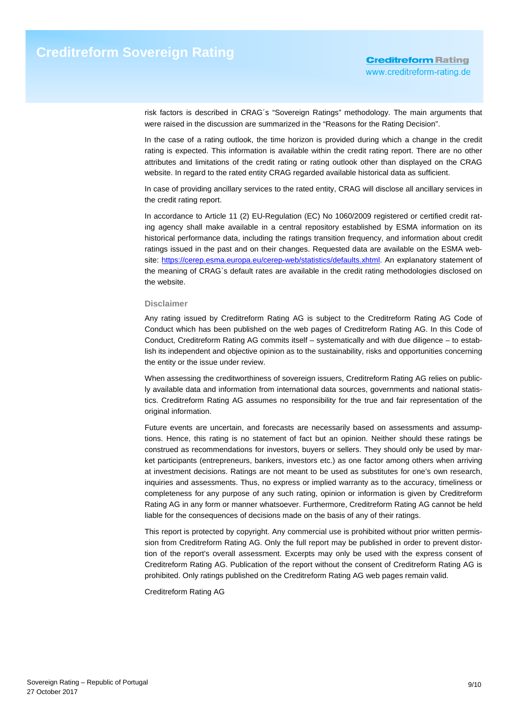risk factors is described in CRAG´s "Sovereign Ratings" methodology. The main arguments that were raised in the discussion are summarized in the "Reasons for the Rating Decision".

In the case of a rating outlook, the time horizon is provided during which a change in the credit rating is expected. This information is available within the credit rating report. There are no other attributes and limitations of the credit rating or rating outlook other than displayed on the CRAG website. In regard to the rated entity CRAG regarded available historical data as sufficient.

In case of providing ancillary services to the rated entity, CRAG will disclose all ancillary services in the credit rating report.

In accordance to Article 11 (2) EU-Regulation (EC) No 1060/2009 registered or certified credit rating agency shall make available in a central repository established by ESMA information on its historical performance data, including the ratings transition frequency, and information about credit ratings issued in the past and on their changes. Requested data are available on the ESMA website: https://cerep.esma.europa.eu/cerep-web/statistics/defaults.xhtml. An explanatory statement of the meaning of CRAG`s default rates are available in the credit rating methodologies disclosed on the website.

### **Disclaimer**

Any rating issued by Creditreform Rating AG is subject to the Creditreform Rating AG Code of Conduct which has been published on the web pages of Creditreform Rating AG. In this Code of Conduct, Creditreform Rating AG commits itself – systematically and with due diligence – to establish its independent and objective opinion as to the sustainability, risks and opportunities concerning the entity or the issue under review.

When assessing the creditworthiness of sovereign issuers, Creditreform Rating AG relies on publicly available data and information from international data sources, governments and national statistics. Creditreform Rating AG assumes no responsibility for the true and fair representation of the original information.

Future events are uncertain, and forecasts are necessarily based on assessments and assumptions. Hence, this rating is no statement of fact but an opinion. Neither should these ratings be construed as recommendations for investors, buyers or sellers. They should only be used by market participants (entrepreneurs, bankers, investors etc.) as one factor among others when arriving at investment decisions. Ratings are not meant to be used as substitutes for one's own research, inquiries and assessments. Thus, no express or implied warranty as to the accuracy, timeliness or completeness for any purpose of any such rating, opinion or information is given by Creditreform Rating AG in any form or manner whatsoever. Furthermore, Creditreform Rating AG cannot be held liable for the consequences of decisions made on the basis of any of their ratings.

This report is protected by copyright. Any commercial use is prohibited without prior written permission from Creditreform Rating AG. Only the full report may be published in order to prevent distortion of the report's overall assessment. Excerpts may only be used with the express consent of Creditreform Rating AG. Publication of the report without the consent of Creditreform Rating AG is prohibited. Only ratings published on the Creditreform Rating AG web pages remain valid.

Creditreform Rating AG